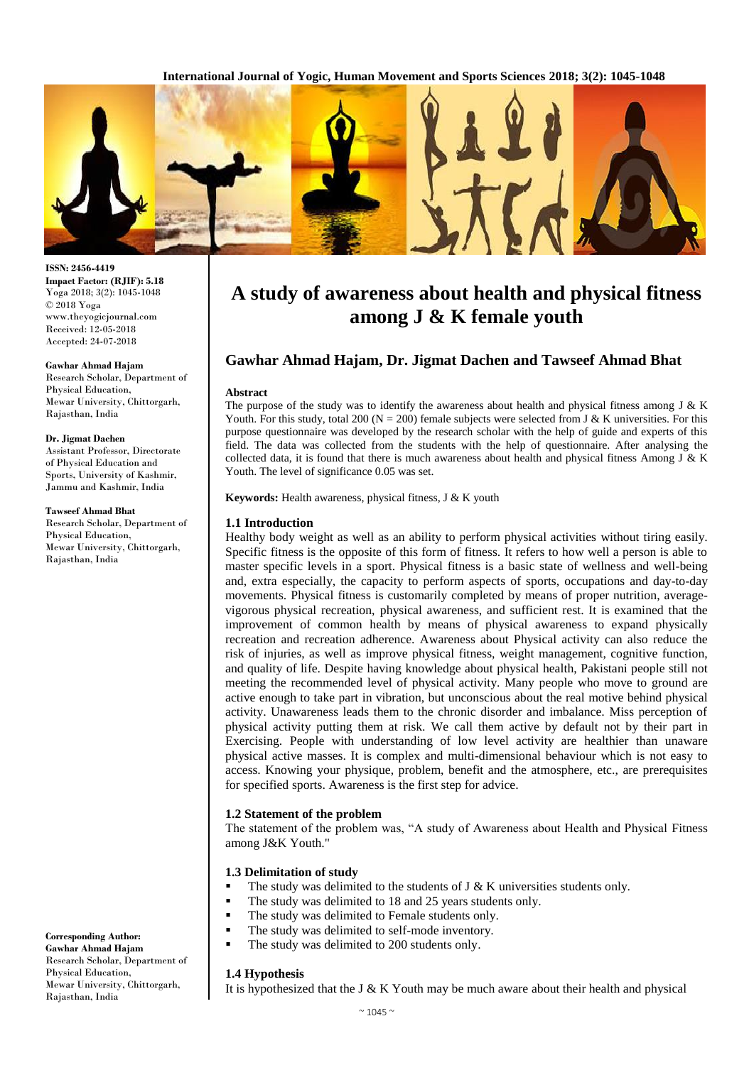**International Journal of Yogic, Human Movement and Sports Sciences 2018; 3(2): 1045-1048**



#### **ISSN: 2456-4419 Impact Factor: (RJIF): 5.18** Yoga 2018; 3(2): 1045-1048 © 2018 Yoga www.theyogicjournal.com Received: 12-05-2018 Accepted: 24-07-2018

#### **Gawhar Ahmad Hajam**

Research Scholar, Department of Physical Education, Mewar University, Chittorgarh, Rajasthan, India

#### **Dr. Jigmat Dachen**

Assistant Professor, Directorate of Physical Education and Sports, University of Kashmir, Jammu and Kashmir, India

#### **Tawseef Ahmad Bhat**

Research Scholar, Department of Physical Education, Mewar University, Chittorgarh, Rajasthan, India

**Corresponding Author: Gawhar Ahmad Hajam** Research Scholar, Department of Physical Education, Mewar University, Chittorgarh, Rajasthan, India

# **A study of awareness about health and physical fitness among J & K female youth**

# **Gawhar Ahmad Hajam, Dr. Jigmat Dachen and Tawseef Ahmad Bhat**

#### **Abstract**

The purpose of the study was to identify the awareness about health and physical fitness among J & K Youth. For this study, total 200 ( $N = 200$ ) female subjects were selected from J & K universities. For this purpose questionnaire was developed by the research scholar with the help of guide and experts of this field. The data was collected from the students with the help of questionnaire. After analysing the collected data, it is found that there is much awareness about health and physical fitness Among J & K Youth. The level of significance 0.05 was set.

**Keywords:** Health awareness, physical fitness, J & K youth

## **1.1 Introduction**

Healthy body weight as well as an ability to perform physical activities without tiring easily. Specific fitness is the opposite of this form of fitness. It refers to how well a person is able to master specific levels in a sport. Physical fitness is a basic state of wellness and well-being and, extra especially, the capacity to perform aspects of sports, occupations and day-to-day movements. Physical fitness is customarily completed by means of proper nutrition, averagevigorous physical recreation, physical awareness, and sufficient rest. It is examined that the improvement of common health by means of physical awareness to expand physically recreation and recreation adherence. Awareness about Physical activity can also reduce the risk of injuries, as well as improve physical fitness, weight management, cognitive function, and quality of life. Despite having knowledge about physical health, Pakistani people still not meeting the recommended level of physical activity. Many people who move to ground are active enough to take part in vibration, but unconscious about the real motive behind physical activity. Unawareness leads them to the chronic disorder and imbalance. Miss perception of physical activity putting them at risk. We call them active by default not by their part in Exercising. People with understanding of low level activity are healthier than unaware physical active masses. It is complex and multi-dimensional behaviour which is not easy to access. Knowing your physique, problem, benefit and the atmosphere, etc., are prerequisites for specified sports. Awareness is the first step for advice.

## **1.2 Statement of the problem**

The statement of the problem was, "A study of Awareness about Health and Physical Fitness among J&K Youth."

## **1.3 Delimitation of study**

- The study was delimited to the students of  $J \& K$  universities students only.
- The study was delimited to 18 and 25 years students only.
- The study was delimited to Female students only.
- $\blacksquare$  The study was delimited to self-mode inventory.
- The study was delimited to 200 students only.

# **1.4 Hypothesis**

It is hypothesized that the J  $&$  K Youth may be much aware about their health and physical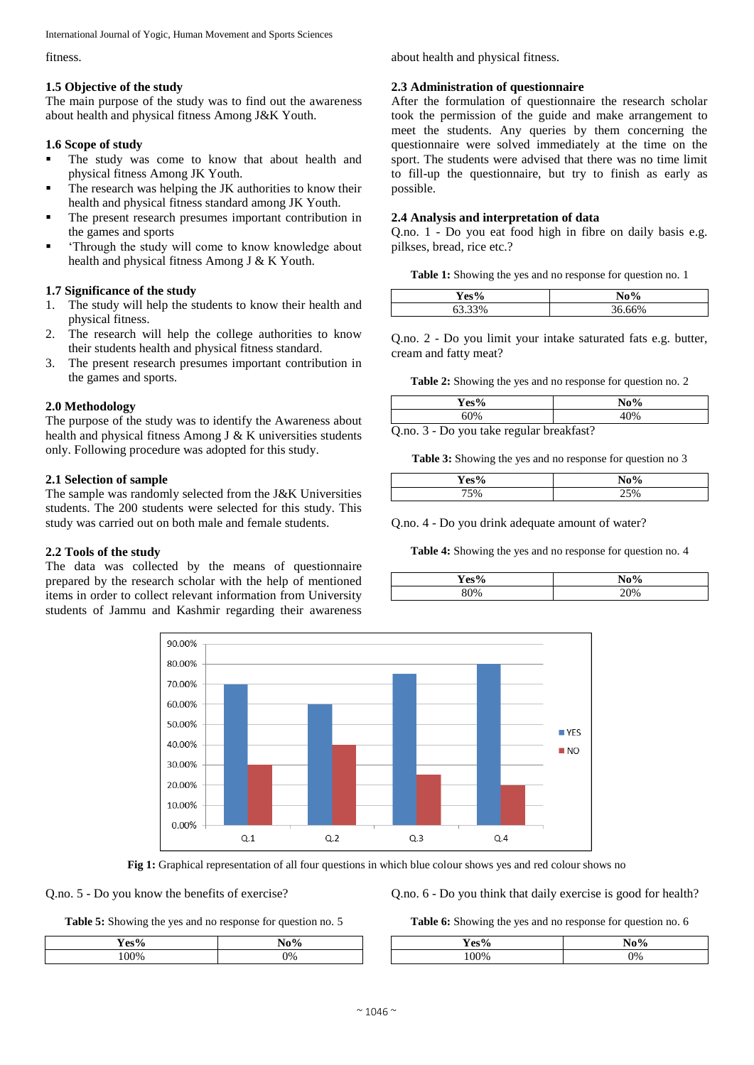International Journal of Yogic, Human Movement and Sports Sciences

fitness.

# **1.5 Objective of the study**

The main purpose of the study was to find out the awareness about health and physical fitness Among J&K Youth.

# **1.6 Scope of study**

- **The study was come to know that about health and** physical fitness Among JK Youth.
- The research was helping the JK authorities to know their health and physical fitness standard among JK Youth.
- The present research presumes important contribution in the games and sports
- 'Through the study will come to know knowledge about health and physical fitness Among J & K Youth.

# **1.7 Significance of the study**

- 1. The study will help the students to know their health and physical fitness.
- 2. The research will help the college authorities to know their students health and physical fitness standard.
- 3. The present research presumes important contribution in the games and sports.

# **2.0 Methodology**

The purpose of the study was to identify the Awareness about health and physical fitness Among J & K universities students only. Following procedure was adopted for this study.

# **2.1 Selection of sample**

The sample was randomly selected from the J&K Universities students. The 200 students were selected for this study. This study was carried out on both male and female students.

## **2.2 Tools of the study**

The data was collected by the means of questionnaire prepared by the research scholar with the help of mentioned items in order to collect relevant information from University students of Jammu and Kashmir regarding their awareness about health and physical fitness.

## **2.3 Administration of questionnaire**

After the formulation of questionnaire the research scholar took the permission of the guide and make arrangement to meet the students. Any queries by them concerning the questionnaire were solved immediately at the time on the sport. The students were advised that there was no time limit to fill-up the questionnaire, but try to finish as early as possible.

# **2.4 Analysis and interpretation of data**

Q.no. 1 - Do you eat food high in fibre on daily basis e.g. pilkses, bread, rice etc.?

**Table 1:** Showing the yes and no response for question no. 1

| $V_{\rho g}$ <sup>0</sup> / | $N_0$ 0/ |
|-----------------------------|----------|
| $\sim$ $\sim$<br>7 U        | $\sim$   |

Q.no. 2 - Do you limit your intake saturated fats e.g. butter, cream and fatty meat?

**Table 2:** Showing the yes and no response for question no. 2

| Yes%   |                  |                          | $\mathbf{N_0}\%$                   |                  |  |
|--------|------------------|--------------------------|------------------------------------|------------------|--|
| 60%    |                  | 10%                      |                                    |                  |  |
| $\sim$ | $\sim$<br>$\sim$ | $\overline{\phantom{a}}$ | $\sim$<br>$\overline{\phantom{a}}$ | $\sim$<br>$\sim$ |  |

Q.no. 3 - Do you take regular breakfast?

**Table 3:** Showing the yes and no response for question no 3

| $Yes\frac{0}{2}$ | $\mathbf{a}$ |
|------------------|--------------|
| $\sim$           | `∩           |

Q.no. 4 - Do you drink adequate amount of water?

**Table 4:** Showing the yes and no response for question no. 4

| $\mathbf{V}_{\mathbf{A}\mathbf{C}}$ 0/. | $N_0$ 0/ |  |
|-----------------------------------------|----------|--|
| π                                       | 70       |  |
| 2%                                      | 7%       |  |



**Fig 1:** Graphical representation of all four questions in which blue colour shows yes and red colour shows no

# Q.no. 5 - Do you know the benefits of exercise?

**Table 5:** Showing the yes and no response for question no. 5

| Yes% | $N \sim 0$ |
|------|------------|
| ʹ0   | Έ          |
| M    | 0%         |

Q.no. 6 - Do you think that daily exercise is good for health?

**Table 6:** Showing the yes and no response for question no. 6

| $Yes^{o}$ | $N_{\alpha}0/$<br>Ó |
|-----------|---------------------|
| ነበዐ       | $\frac{10}{6}$      |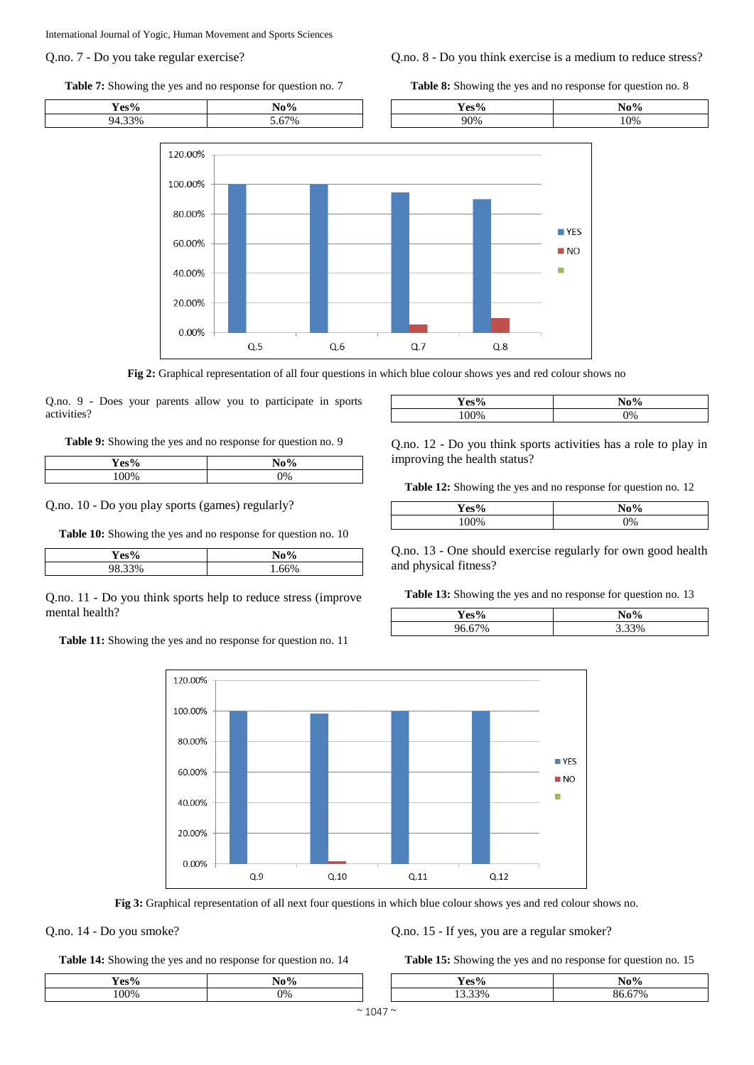International Journal of Yogic, Human Movement and Sports Sciences

### Q.no. 7 - Do you take regular exercise?

**Table 7:** Showing the yes and no response for question no. 7

## Q.no. 8 - Do you think exercise is a medium to reduce stress?

**Table 8:** Showing the yes and no response for question no. 8



**Fig 2:** Graphical representation of all four questions in which blue colour shows yes and red colour shows no

Q.no. 9 - Does your parents allow you to participate in sports activities?

**Table 9:** Showing the yes and no response for question no. 9

| $\mathbf{V}$ ec $^{\mathbf{0}\prime}$ | $N_0$ 0/      |
|---------------------------------------|---------------|
| Ζ0                                    | 70            |
| $0\%$                                 | $\gamma_{\%}$ |

Q.no. 10 - Do you play sports (games) regularly?

**Table 10:** Showing the yes and no response for question no. 10

| $\sqrt{2}$<br>70 | $\bf No\%$ |
|------------------|------------|
| .33%<br>ັບເປ     | 66%        |

Q.no. 11 - Do you think sports help to reduce stress (improve mental health?

**Table 11:** Showing the yes and no response for question no. 11



**Fig 3:** Graphical representation of all next four questions in which blue colour shows yes and red colour shows no.

Q.no. 14 - Do you smoke?

**Table 14:** Showing the yes and no response for question no. 14

Q.no. 15 - If yes, you are a regular smoker?

**Table 15:** Showing the yes and no response for question no. 15

| ്ക്ക0            | $\mathbf{r}$<br>70 | $\sim$ 0.<br>Δ<br>. . | . 0.     |
|------------------|--------------------|-----------------------|----------|
| 200 <sub>4</sub> | ∩0⁄                | 20/<br>70             | 7%<br>`` |

| $\mathbf{V}_{\mathbf{A}\mathbf{C}}$ <sup>0</sup> /<br>υ | $\mathbf{M} \cdot \mathbf{0}$<br>ʹ0 |
|---------------------------------------------------------|-------------------------------------|
| v                                                       | 0%                                  |
|                                                         |                                     |

Q.no. 12 - Do you think sports activities has a role to play in improving the health status?

**Table 12:** Showing the yes and no response for question no. 12

| Yes% | $N_0$ 0/<br>70<br>١U |  |
|------|----------------------|--|
| 00%  | 0%                   |  |

Q.no. 13 - One should exercise regularly for own good health and physical fitness?

**Table 13:** Showing the yes and no response for question no. 13

| $\mathbf{V}$ oc $\mathbf{0}$ / | $No\%$      |
|--------------------------------|-------------|
| 70/                            | %<br>ັ<br>ت |